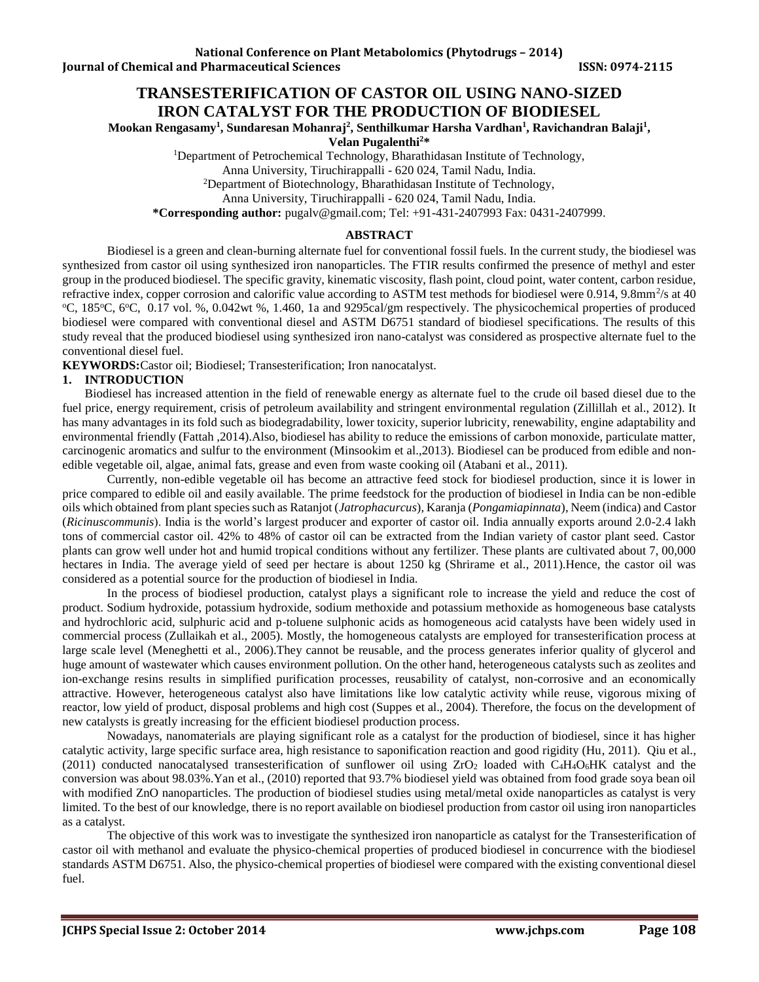# **TRANSESTERIFICATION OF CASTOR OIL USING NANO-SIZED IRON CATALYST FOR THE PRODUCTION OF BIODIESEL**

**Mookan Rengasamy<sup>1</sup> , Sundaresan Mohanraj<sup>2</sup> , Senthilkumar Harsha Vardhan<sup>1</sup> , Ravichandran Balaji<sup>1</sup> ,** 

**Velan Pugalenthi<sup>2</sup>\*** 

<sup>1</sup>Department of Petrochemical Technology, Bharathidasan Institute of Technology,

Anna University, Tiruchirappalli - 620 024, Tamil Nadu, India.

<sup>2</sup>Department of Biotechnology, Bharathidasan Institute of Technology,

Anna University, Tiruchirappalli - 620 024, Tamil Nadu, India.

**\*Corresponding author:** [pugalv@gmail.com;](mailto:pugalv@gmail.com) Tel: +91-431-2407993 Fax: 0431-2407999.

### **ABSTRACT**

Biodiesel is a green and clean-burning alternate fuel for conventional fossil fuels. In the current study, the biodiesel was synthesized from castor oil using synthesized iron nanoparticles. The FTIR results confirmed the presence of methyl and ester group in the produced biodiesel. The specific gravity, kinematic viscosity, flash point, cloud point, water content, carbon residue, refractive index, copper corrosion and calorific value according to ASTM test methods for biodiesel were 0.914, 9.8mm<sup>2</sup>/s at 40 <sup>o</sup>C, 185<sup>o</sup>C, 6<sup>o</sup>C, 0.17 vol. %, 0.042wt %, 1.460, 1a and 9295cal/gm respectively. The physicochemical properties of produced biodiesel were compared with conventional diesel and ASTM D6751 standard of biodiesel specifications. The results of this study reveal that the produced biodiesel using synthesized iron nano-catalyst was considered as prospective alternate fuel to the conventional diesel fuel.

**KEYWORDS:**Castor oil; Biodiesel; Transesterification; Iron nanocatalyst.

### **1. INTRODUCTION**

Biodiesel has increased attention in the field of renewable energy as alternate fuel to the crude oil based diesel due to the fuel price, energy requirement, crisis of petroleum availability and stringent environmental regulation (Zillillah et al., 2012). It has many advantages in its fold such as biodegradability, lower toxicity, superior lubricity, renewability, engine adaptability and environmental friendly (Fattah ,2014).Also, biodiesel has ability to reduce the emissions of carbon monoxide, particulate matter, carcinogenic aromatics and sulfur to the environment (Minsookim et al.,2013). Biodiesel can be produced from edible and nonedible vegetable oil, algae, animal fats, grease and even from waste cooking oil (Atabani et al., 2011).

Currently, non-edible vegetable oil has become an attractive feed stock for biodiesel production, since it is lower in price compared to edible oil and easily available. The prime feedstock for the production of biodiesel in India can be non-edible oils which obtained from plant species such as Ratanjot (*Jatrophacurcus*), Karanja (*Pongamiapinnata*), Neem (indica) and Castor (*Ricinuscommunis*). India is the world's largest producer and exporter of castor oil. India annually exports around 2.0-2.4 lakh tons of commercial castor oil. 42% to 48% of castor oil can be extracted from the Indian variety of castor plant seed. Castor plants can grow well under hot and humid tropical conditions without any fertilizer. These plants are cultivated about 7, 00,000 hectares in India. The average yield of seed per hectare is about 1250 kg (Shrirame et al., 2011).Hence, the castor oil was considered as a potential source for the production of biodiesel in India.

In the process of biodiesel production, catalyst plays a significant role to increase the yield and reduce the cost of product. Sodium hydroxide, potassium hydroxide, sodium methoxide and potassium methoxide as homogeneous base catalysts and hydrochloric acid, sulphuric acid and p-toluene sulphonic acids as homogeneous acid catalysts have been widely used in commercial process (Zullaikah et al., 2005). Mostly, the homogeneous catalysts are employed for transesterification process at large scale level (Meneghetti et al., 2006).They cannot be reusable, and the process generates inferior quality of glycerol and huge amount of wastewater which causes environment pollution. On the other hand, heterogeneous catalysts such as zeolites and ion-exchange resins results in simplified purification processes, reusability of catalyst, non-corrosive and an economically attractive. However, heterogeneous catalyst also have limitations like low catalytic activity while reuse, vigorous mixing of reactor, low yield of product, disposal problems and high cost (Suppes et al., 2004). Therefore, the focus on the development of new catalysts is greatly increasing for the efficient biodiesel production process.

Nowadays, nanomaterials are playing significant role as a catalyst for the production of biodiesel, since it has higher catalytic activity, large specific surface area, high resistance to saponification reaction and good rigidity (Hu, 2011). Qiu et al., (2011) conducted nanocatalysed transesterification of sunflower oil using  $ZrO_2$  loaded with  $C_4H_4O_6HK$  catalyst and the conversion was about 98.03%.Yan et al., (2010) reported that 93.7% biodiesel yield was obtained from food grade soya bean oil with modified ZnO nanoparticles. The production of biodiesel studies using metal/metal oxide nanoparticles as catalyst is very limited. To the best of our knowledge, there is no report available on biodiesel production from castor oil using iron nanoparticles as a catalyst.

The objective of this work was to investigate the synthesized iron nanoparticle as catalyst for the Transesterification of castor oil with methanol and evaluate the physico-chemical properties of produced biodiesel in concurrence with the biodiesel standards ASTM D6751. Also, the physico-chemical properties of biodiesel were compared with the existing conventional diesel fuel.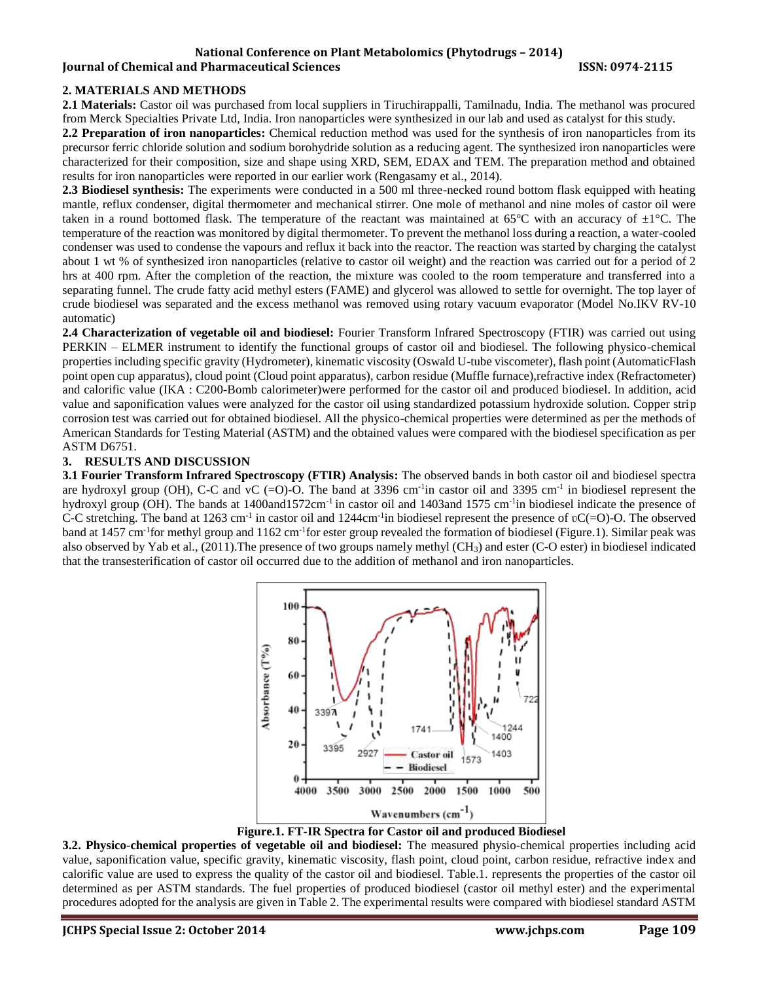#### **National Conference on Plant Metabolomics (Phytodrugs – 2014) Iournal of Chemical and Pharmaceutical Sciences ISSN: 0974-2115**

# **2. MATERIALS AND METHODS**

**2.1 Materials:** Castor oil was purchased from local suppliers in Tiruchirappalli, Tamilnadu, India. The methanol was procured from Merck Specialties Private Ltd, India. Iron nanoparticles were synthesized in our lab and used as catalyst for this study.

**2.2 Preparation of iron nanoparticles:** Chemical reduction method was used for the synthesis of iron nanoparticles from its precursor ferric chloride solution and sodium borohydride solution as a reducing agent. The synthesized iron nanoparticles were characterized for their composition, size and shape using XRD, SEM, EDAX and TEM. The preparation method and obtained results for iron nanoparticles were reported in our earlier work (Rengasamy et al., 2014).

**2.3 Biodiesel synthesis:** The experiments were conducted in a 500 ml three-necked round bottom flask equipped with heating mantle, reflux condenser, digital thermometer and mechanical stirrer. One mole of methanol and nine moles of castor oil were taken in a round bottomed flask. The temperature of the reactant was maintained at 65 $^{\circ}$ C with an accuracy of  $\pm 1^{\circ}$ C. The temperature of the reaction was monitored by digital thermometer. To prevent the methanol loss during a reaction, a water-cooled condenser was used to condense the vapours and reflux it back into the reactor. The reaction was started by charging the catalyst about 1 wt % of synthesized iron nanoparticles (relative to castor oil weight) and the reaction was carried out for a period of 2 hrs at 400 rpm. After the completion of the reaction, the mixture was cooled to the room temperature and transferred into a separating funnel. The crude fatty acid methyl esters (FAME) and glycerol was allowed to settle for overnight. The top layer of crude biodiesel was separated and the excess methanol was removed using rotary vacuum evaporator (Model No.IKV RV-10 automatic)

**2.4 Characterization of vegetable oil and biodiesel:** Fourier Transform Infrared Spectroscopy (FTIR) was carried out using PERKIN – ELMER instrument to identify the functional groups of castor oil and biodiesel. The following physico-chemical properties including specific gravity (Hydrometer), kinematic viscosity (Oswald U-tube viscometer), flash point (AutomaticFlash point open cup apparatus), cloud point (Cloud point apparatus), carbon residue (Muffle furnace),refractive index (Refractometer) and calorific value (IKA : C200-Bomb calorimeter)were performed for the castor oil and produced biodiesel. In addition, acid value and saponification values were analyzed for the castor oil using standardized potassium hydroxide solution. Copper strip corrosion test was carried out for obtained biodiesel. All the physico-chemical properties were determined as per the methods of American Standards for Testing Material (ASTM) and the obtained values were compared with the biodiesel specification as per ASTM D6751.

## **3. RESULTS AND DISCUSSION**

**3.1 Fourier Transform Infrared Spectroscopy (FTIR) Analysis:** The observed bands in both castor oil and biodiesel spectra are hydroxyl group (OH), C-C and vC  $(=0)$ -O. The band at 3396 cm<sup>-1</sup> in castor oil and 3395 cm<sup>-1</sup> in biodiesel represent the hydroxyl group (OH). The bands at  $1400$ and $1572$ cm<sup>-1</sup> in castor oil and  $1403$ and  $1575$  cm<sup>-1</sup> in biodiesel indicate the presence of C-C stretching. The band at 1263 cm<sup>-1</sup> in castor oil and 1244cm<sup>-1</sup>in biodiesel represent the presence of  $\mathfrak{v}$ C(=O)-O. The observed band at 1457 cm<sup>-1</sup>for methyl group and 1162 cm<sup>-1</sup>for ester group revealed the formation of biodiesel (Figure.1). Similar peak was also observed by Yab et al., (2011).The presence of two groups namely methyl (CH3) and ester (C-O ester) in biodiesel indicated that the transesterification of castor oil occurred due to the addition of methanol and iron nanoparticles.



**Figure.1. FT-IR Spectra for Castor oil and produced Biodiesel**

**3.2. Physico-chemical properties of vegetable oil and biodiesel:** The measured physio-chemical properties including acid value, saponification value, specific gravity, kinematic viscosity, flash point, cloud point, carbon residue, refractive index and calorific value are used to express the quality of the castor oil and biodiesel. Table.1. represents the properties of the castor oil determined as per ASTM standards. The fuel properties of produced biodiesel (castor oil methyl ester) and the experimental procedures adopted for the analysis are given in Table 2. The experimental results were compared with biodiesel standard ASTM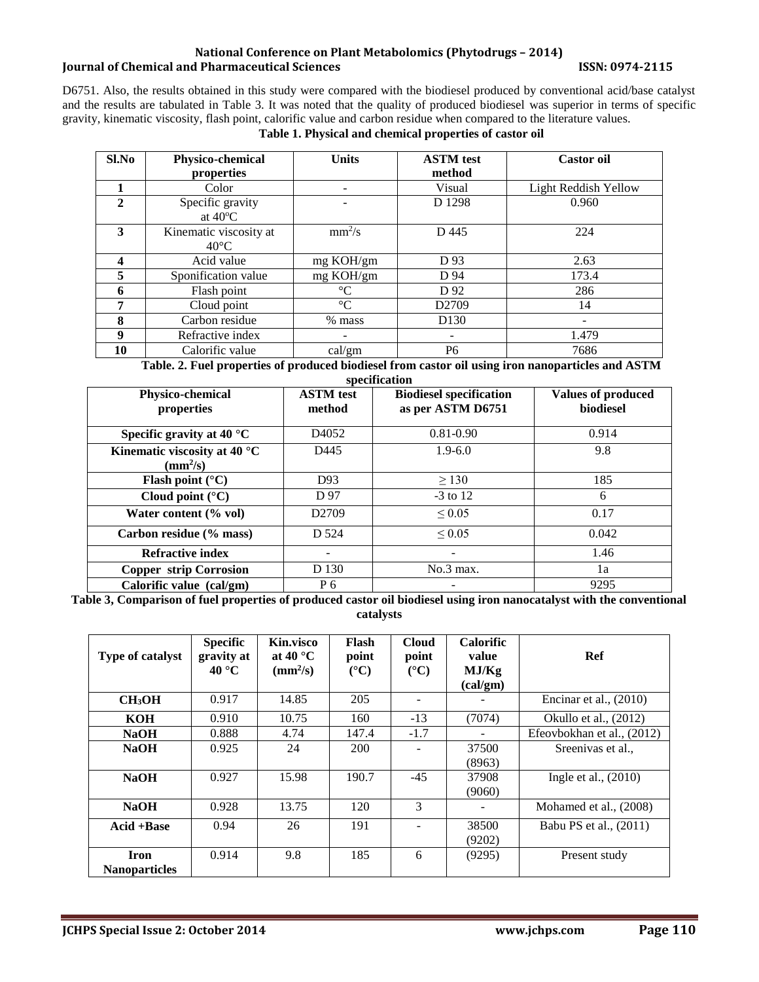## **National Conference on Plant Metabolomics (Phytodrugs – 2014) Journal of Chemical and Pharmaceutical Sciences ISSN: 0974-2115**

D6751. Also, the results obtained in this study were compared with the biodiesel produced by conventional acid/base catalyst and the results are tabulated in Table 3. It was noted that the quality of produced biodiesel was superior in terms of specific gravity, kinematic viscosity, flash point, calorific value and carbon residue when compared to the literature values.

# **Table 1. Physical and chemical properties of castor oil**

| $Sl$ . No               | Physico-chemical       | <b>Units</b>    | <b>ASTM</b> test  | <b>Castor oil</b>    |
|-------------------------|------------------------|-----------------|-------------------|----------------------|
|                         | properties             |                 | method            |                      |
|                         | Color                  | ۰               | Visual            | Light Reddish Yellow |
| $\mathbf{2}$            | Specific gravity       |                 | D 1298            | 0.960                |
|                         | at $40^{\circ}$ C      |                 |                   |                      |
| 3                       | Kinematic viscosity at | $mm^2/s$        | D 445             | 224                  |
|                         | $40^{\circ}$ C         |                 |                   |                      |
| $\overline{\mathbf{4}}$ | Acid value             | mg KOH/gm       | D 93              | 2.63                 |
| 5                       | Sponification value    | mg KOH/gm       | D 94              | 173.4                |
| 6                       | Flash point            | $\rm ^{\circ}C$ | D 92              | 286                  |
| 7                       | Cloud point            | $\rm ^{\circ}C$ | D <sub>2709</sub> | 14                   |
| 8                       | Carbon residue         | % mass          | D <sub>130</sub>  | -                    |
| 9                       | Refractive index       |                 |                   | 1.479                |
| 10                      | Calorific value        | cal/gm          | P <sub>6</sub>    | 7686                 |

**Table. 2. Fuel properties of produced biodiesel from castor oil using iron nanoparticles and ASTM** 

| specification |  |
|---------------|--|
|               |  |

| <b>Physico-chemical</b><br>properties                              | <b>ASTM</b> test<br>method | <b>Biodiesel specification</b><br>as per ASTM D6751 | <b>Values of produced</b><br>biodiesel |
|--------------------------------------------------------------------|----------------------------|-----------------------------------------------------|----------------------------------------|
| Specific gravity at 40 $^{\circ}$ C                                | D <sub>4052</sub>          | $0.81 - 0.90$                                       | 0.914                                  |
| Kinematic viscosity at 40 $^{\circ}$ C<br>$\text{(mm}^2\text{/s)}$ | D445                       | $1.9 - 6.0$                                         | 9.8                                    |
| Flash point $(^{\circ}C)$                                          | D93                        | > 130                                               | 185                                    |
| Cloud point $(^{\circ}C)$                                          | D 97                       | $-3$ to 12                                          | 6                                      |
| Water content (% vol)                                              | D <sub>2709</sub>          | $\leq 0.05$                                         | 0.17                                   |
| Carbon residue (% mass)                                            | D 524                      | $\leq 0.05$                                         | 0.042                                  |
| <b>Refractive index</b>                                            |                            | $\overline{\phantom{a}}$                            | 1.46                                   |
| <b>Copper strip Corrosion</b>                                      | D 130                      | No.3 max.                                           | 1a                                     |
| Calorific value (cal/gm)                                           | P 6                        | -                                                   | 9295                                   |

**Table 3, Comparison of fuel properties of produced castor oil biodiesel using iron nanocatalyst with the conventional catalysts**

| <b>Type of catalyst</b>             | <b>Specific</b><br>gravity at<br>$40^{\circ}$ C | <b>Kin.visco</b><br>at 40 $^{\circ}$ C<br>$\text{(mm}^2/\text{s})$ | Flash<br>point<br>$({}^{\circ}C)$ | <b>Cloud</b><br>point<br>$({}^{\circ}C)$ | <b>Calorific</b><br>value<br>MJ/Kg<br>(cal/gm) | Ref                        |
|-------------------------------------|-------------------------------------------------|--------------------------------------------------------------------|-----------------------------------|------------------------------------------|------------------------------------------------|----------------------------|
| <b>CH3OH</b>                        | 0.917                                           | 14.85                                                              | 205                               | $\overline{\phantom{a}}$                 |                                                | Encinar et al., $(2010)$   |
| KOH                                 | 0.910                                           | 10.75                                                              | 160                               | $-13$                                    | (7074)                                         | Okullo et al., (2012)      |
| <b>NaOH</b>                         | 0.888                                           | 4.74                                                               | 147.4                             | $-1.7$                                   |                                                | Efeovbokhan et al., (2012) |
| <b>NaOH</b>                         | 0.925                                           | 24                                                                 | 200                               |                                          | 37500<br>(8963)                                | Sreenivas et al            |
| <b>NaOH</b>                         | 0.927                                           | 15.98                                                              | 190.7                             | $-45$                                    | 37908<br>(9060)                                | Ingle et al., $(2010)$     |
| <b>NaOH</b>                         | 0.928                                           | 13.75                                                              | 120                               | 3                                        |                                                | Mohamed et al., (2008)     |
| $Acid + Base$                       | 0.94                                            | 26                                                                 | 191                               |                                          | 38500<br>(9202)                                | Babu PS et al., (2011)     |
| <b>Iron</b><br><b>Nanoparticles</b> | 0.914                                           | 9.8                                                                | 185                               | 6                                        | (9295)                                         | Present study              |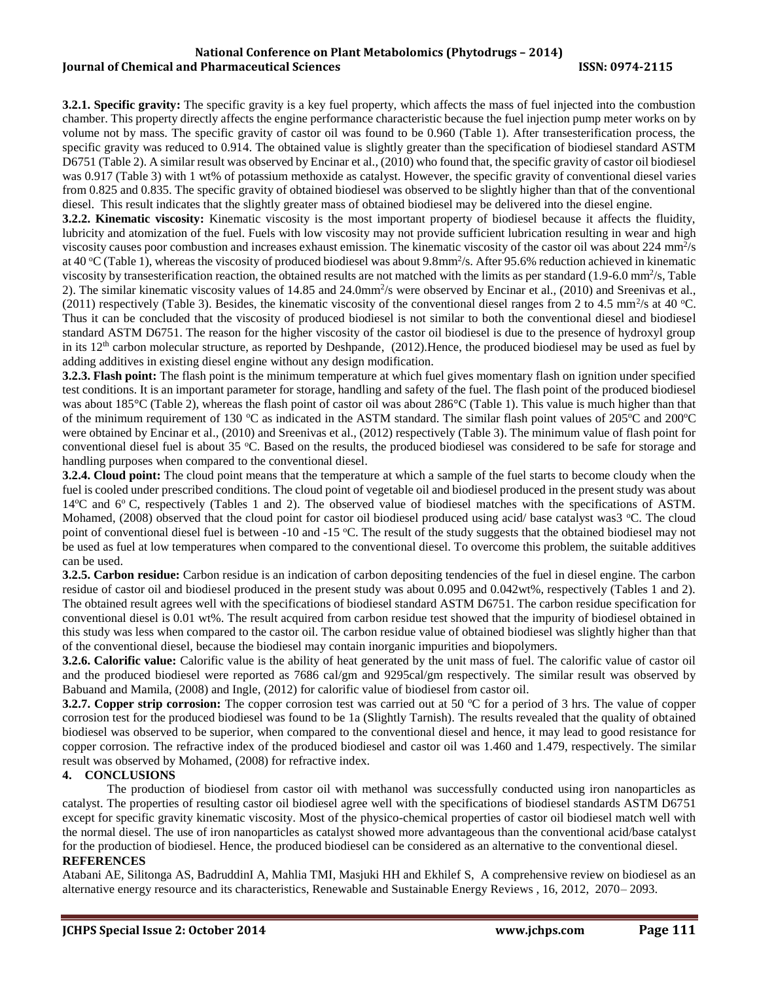### **National Conference on Plant Metabolomics (Phytodrugs – 2014) Iournal of Chemical and Pharmaceutical Sciences ISSN: 0974-2115**

**3.2.1. Specific gravity:** The specific gravity is a key fuel property, which affects the mass of fuel injected into the combustion chamber. This property directly affects the engine performance characteristic because the fuel injection pump meter works on by volume not by mass. The specific gravity of castor oil was found to be 0.960 (Table 1). After transesterification process, the specific gravity was reduced to 0.914. The obtained value is slightly greater than the specification of biodiesel standard ASTM D6751 (Table 2). A similar result was observed by Encinar et al., (2010) who found that, the specific gravity of castor oil biodiesel was 0.917 (Table 3) with 1 wt% of potassium methoxide as catalyst. However, the specific gravity of conventional diesel varies from 0.825 and 0.835. The specific gravity of obtained biodiesel was observed to be slightly higher than that of the conventional diesel. This result indicates that the slightly greater mass of obtained biodiesel may be delivered into the diesel engine.

**3.2.2. Kinematic viscosity:** Kinematic viscosity is the most important property of biodiesel because it affects the fluidity, lubricity and atomization of the fuel. Fuels with low viscosity may not provide sufficient lubrication resulting in wear and high viscosity causes poor combustion and increases exhaust emission. The kinematic viscosity of the castor oil was about 224 mm $\frac{2}{3}$ at 40 °C (Table 1), whereas the viscosity of produced biodiesel was about 9.8mm<sup>2</sup>/s. After 95.6% reduction achieved in kinematic viscosity by transesterification reaction, the obtained results are not matched with the limits as per standard  $(1.9-6.0 \text{ mm}^2/\text{s}, \text{Table})$ 2). The similar kinematic viscosity values of  $14.85$  and  $24.0$ mm<sup>2</sup>/s were observed by Encinar et al., (2010) and Sreenivas et al., (2011) respectively (Table 3). Besides, the kinematic viscosity of the conventional diesel ranges from 2 to 4.5 mm<sup>2</sup>/s at 40 °C. Thus it can be concluded that the viscosity of produced biodiesel is not similar to both the conventional diesel and biodiesel standard ASTM D6751. The reason for the higher viscosity of the castor oil biodiesel is due to the presence of hydroxyl group in its  $12<sup>th</sup>$  carbon molecular structure, as reported by Deshpande,  $(2012)$ . Hence, the produced biodiesel may be used as fuel by adding additives in existing diesel engine without any design modification.

**3.2.3. Flash point:** The flash point is the minimum temperature at which fuel gives momentary flash on ignition under specified test conditions. It is an important parameter for storage, handling and safety of the fuel. The flash point of the produced biodiesel was about 185°C (Table 2), whereas the flash point of castor oil was about 286°C (Table 1). This value is much higher than that of the minimum requirement of 130  $\degree$ C as indicated in the ASTM standard. The similar flash point values of 205 $\degree$ C and 200 $\degree$ C were obtained by Encinar et al., (2010) and Sreenivas et al., (2012) respectively (Table 3). The minimum value of flash point for conventional diesel fuel is about 35 °C. Based on the results, the produced biodiesel was considered to be safe for storage and handling purposes when compared to the conventional diesel.

**3.2.4. Cloud point:** The cloud point means that the temperature at which a sample of the fuel starts to become cloudy when the fuel is cooled under prescribed conditions. The cloud point of vegetable oil and biodiesel produced in the present study was about  $14^{\circ}$ C and  $6^{\circ}$  C, respectively (Tables 1 and 2). The observed value of biodiesel matches with the specifications of ASTM. Mohamed,  $(2008)$  observed that the cloud point for castor oil biodiesel produced using acid/ base catalyst was $3 \degree C$ . The cloud point of conventional diesel fuel is between -10 and -15 °C. The result of the study suggests that the obtained biodiesel may not be used as fuel at low temperatures when compared to the conventional diesel. To overcome this problem, the suitable additives can be used.

**3.2.5. Carbon residue:** Carbon residue is an indication of carbon depositing tendencies of the fuel in diesel engine. The carbon residue of castor oil and biodiesel produced in the present study was about 0.095 and 0.042wt%, respectively (Tables 1 and 2). The obtained result agrees well with the specifications of biodiesel standard ASTM D6751. The carbon residue specification for conventional diesel is 0.01 wt%. The result acquired from carbon residue test showed that the impurity of biodiesel obtained in this study was less when compared to the castor oil. The carbon residue value of obtained biodiesel was slightly higher than that of the conventional diesel, because the biodiesel may contain inorganic impurities and biopolymers.

**3.2.6. Calorific value:** Calorific value is the ability of heat generated by the unit mass of fuel. The calorific value of castor oil and the produced biodiesel were reported as 7686 cal/gm and 9295cal/gm respectively. The similar result was observed by Babuand and Mamila, (2008) and Ingle, (2012) for calorific value of biodiesel from castor oil.

**3.2.7. Copper strip corrosion:** The copper corrosion test was carried out at 50 °C for a period of 3 hrs. The value of copper corrosion test for the produced biodiesel was found to be 1a (Slightly Tarnish). The results revealed that the quality of obtained biodiesel was observed to be superior, when compared to the conventional diesel and hence, it may lead to good resistance for copper corrosion. The refractive index of the produced biodiesel and castor oil was 1.460 and 1.479, respectively. The similar result was observed by Mohamed, (2008) for refractive index.

## **4. CONCLUSIONS**

The production of biodiesel from castor oil with methanol was successfully conducted using iron nanoparticles as catalyst. The properties of resulting castor oil biodiesel agree well with the specifications of biodiesel standards ASTM D6751 except for specific gravity kinematic viscosity. Most of the physico-chemical properties of castor oil biodiesel match well with the normal diesel. The use of iron nanoparticles as catalyst showed more advantageous than the conventional acid/base catalyst for the production of biodiesel. Hence, the produced biodiesel can be considered as an alternative to the conventional diesel. **REFERENCES**

Atabani AE, Silitonga AS, BadruddinI A, Mahlia TMI, Masjuki HH and Ekhilef S, A comprehensive review on biodiesel as an alternative energy resource and its characteristics, Renewable and Sustainable Energy Reviews , 16, 2012, 2070– 2093.